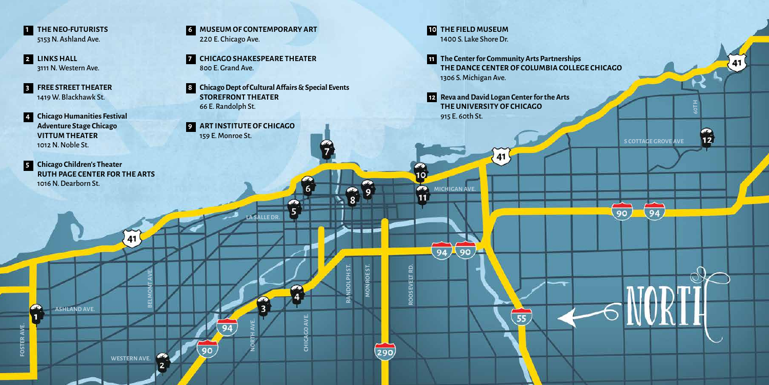- **1** THE NEO-FUTURISTS 5153 N. Ashland Ave.
- **2 LINKS HALL** 3111 N. Western Ave.
- **3 FREE STREET THEATER** 1419 W. Blackhawk St.
- **4 Chicago Humanities Festival Adventure Stage Chicago VITTUM THEATER** 1012 N. Noble St.

**ASHLAND AVE.**

**FOSTER AVE.**

**COSTERAVE** 

 $\frac{1}{1}$ 

**WESTERN AVE.**

41

**BELMONT AVE.**

**5 Chicago Children's Theater RUTH PAGE CENTER FOR THE ARTS** 1016 N. Dearborn St.

- **6 MUSEUM OF CONTEMPORARY ART** 220 E. Chicago Ave.
- **7 CHICAGO SHAKESPEARE THEATER** 800 E. Grand Ave.
- **8 Chicago Dept of Cultural Affairs & Special Events STOREFRONT THEATER** 66 E. Randolph St.

**LA SALLE DR.**

**NORTH AVE.**

 $\overline{3}$ 

**CHICAGO AVE.**

**RANDOLPH ST.**

**MONROE ST.**

 $(290)$ 

MONROE ST

**ROOSEVELT RD.**

**ROOSEVELT RD.** 

10  $\bullet$  $\overline{11}$ 

**9 ART INSTITUTE OF CHICAGO** 159 E. Monroe St.

**10 THE FIELD MUSEUM** 1400 S. Lake Shore Dr.

**MICHIGAN AVE.**

90

94

**11 The Center for Community Arts Partnerships THE DANCE CENTER OF COLUMBIA COLLEGE CHICAGO** 1306 S. Michigan Ave.

**S COTTAGE GROVE AVE**

94

90

**60TH**

 $\frac{2}{12}$ 

**12 Reva and David Logan Center for the Arts THE UNIVERSITY OF CHICAGO**  915 E. 60th St.

41

55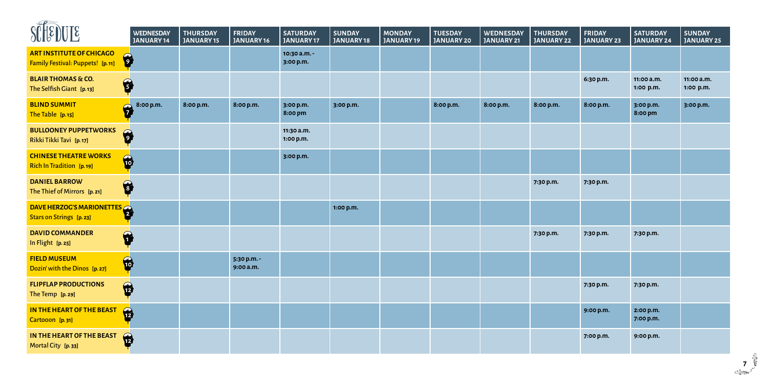| <b>SLIRE ARE</b>                                                    | <b>WEDNESDAY</b><br>JANUARY 14 | <b>THURSDAY</b><br><b>JANUARY 15</b> | <b>FRIDAY</b><br>JANUARY 16 | <b>SATURDAY</b><br><b>JANUARY17</b> | <b>SUNDAY</b><br><b>JANUARY18</b> | <b>MONDAY</b><br><b>JANUARY19</b> | <b>TUESDAY</b><br><b>JANUARY 20</b> | <b>WEDNESDAY</b><br>JANUARY 21 | <b>THURSDAY</b><br><b>JANUARY 22</b> | <b>FRIDAY</b><br><b>JANUARY 23</b> | <b>SATURDAY</b><br><b>JANUARY 24</b> | <b>SUNDAY</b><br><b>JANUARY 25</b> |
|---------------------------------------------------------------------|--------------------------------|--------------------------------------|-----------------------------|-------------------------------------|-----------------------------------|-----------------------------------|-------------------------------------|--------------------------------|--------------------------------------|------------------------------------|--------------------------------------|------------------------------------|
| <b>ART INSTITUTE OF CHICAGO</b><br>Family Festival: Puppets! [p.11] | 6                              |                                      |                             | 10:30 a.m. -<br>3:00 p.m.           |                                   |                                   |                                     |                                |                                      |                                    |                                      |                                    |
| <b>BLAIR THOMAS &amp; CO.</b><br>The Selfish Giant [p.13]           | 6                              |                                      |                             |                                     |                                   |                                   |                                     |                                |                                      | 6:30 p.m.                          | 11:00 a.m.<br>1:00 p.m.              | 11:00 a.m.<br>1:00 p.m.            |
| <b>BLIND SUMMIT</b><br>The Table [p.15]                             | 8:00 p.m.<br>$\mathbf{G}$      | 8:00 p.m.                            | 8:00 p.m.                   | 3:00 p.m.<br>8:00 pm                | 3:00 p.m.                         |                                   | 8:00 p.m.                           | 8:00 p.m.                      | 8:00 p.m.                            | 8:00 p.m.                          | 3:00 p.m.<br>8:00 pm                 | 3:00 p.m.                          |
| <b>BULLOONEY PUPPETWORKS</b><br>Rikki Tikki Tavi [p.17]             | 6                              |                                      |                             | 11:30 a.m.<br>1:00 p.m.             |                                   |                                   |                                     |                                |                                      |                                    |                                      |                                    |
| <b>CHINESE THEATRE WORKS</b><br><b>Rich In Tradition</b> [p. 19]    | $\bullet$                      |                                      |                             | 3:00 p.m.                           |                                   |                                   |                                     |                                |                                      |                                    |                                      |                                    |
| <b>DANIEL BARROW</b><br>The Thief of Mirrors [p. 21]                | 6                              |                                      |                             |                                     |                                   |                                   |                                     |                                | 7:30 p.m.                            | 7:30 p.m.                          |                                      |                                    |
| DAVE HERZOG'S MARIONETTES<br><b>Stars on Strings</b> [p. 23]        |                                |                                      |                             |                                     | 1:00 p.m.                         |                                   |                                     |                                |                                      |                                    |                                      |                                    |
| <b>DAVID COMMANDER</b><br>In Flight [p. 25]                         | 6                              |                                      |                             |                                     |                                   |                                   |                                     |                                | 7:30 p.m.                            | 7:30 p.m.                          | 7:30 p.m.                            |                                    |
| <b>FIELD MUSEUM</b><br>Dozin' with the Dinos [p. 27]                | $\bullet$                      |                                      | 5:30 p.m. -<br>9:00 a.m.    |                                     |                                   |                                   |                                     |                                |                                      |                                    |                                      |                                    |
| <b>FLIPFLAP PRODUCTIONS</b><br>The Temp [p. 29]                     | $\bullet$                      |                                      |                             |                                     |                                   |                                   |                                     |                                |                                      | 7:30 p.m.                          | 7:30 p.m.                            |                                    |
| IN THE HEART OF THE BEAST<br>Cartooon [p.31]                        | $\bullet$                      |                                      |                             |                                     |                                   |                                   |                                     |                                |                                      | 9:00 p.m.                          | 2:00 p.m.<br>7:00 p.m.               |                                    |
| IN THE HEART OF THE BEAST<br>Mortal City [p.33]                     | $\mathbf{\hat{p}}$             |                                      |                             |                                     |                                   |                                   |                                     |                                |                                      | 7:00 p.m.                          | 9:00 p.m.                            |                                    |